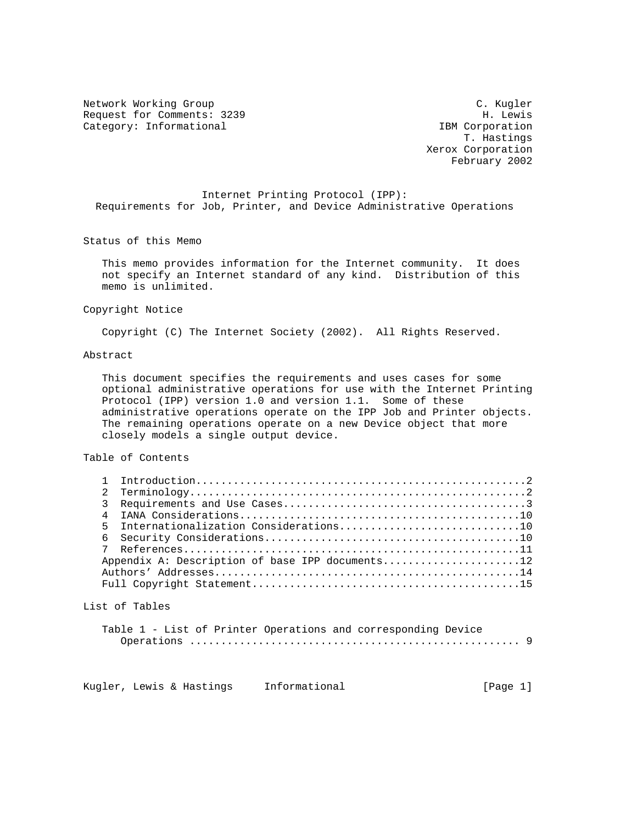Network Working Group C. C. Kugler Request for Comments: 3239 H. Lewis<br>
Category: Informational and the set of the set of the set of the set of the set of the set of the set of the s Category: Informational

 T. Hastings Xerox Corporation February 2002

 Internet Printing Protocol (IPP): Requirements for Job, Printer, and Device Administrative Operations

Status of this Memo

 This memo provides information for the Internet community. It does not specify an Internet standard of any kind. Distribution of this memo is unlimited.

Copyright Notice

Copyright (C) The Internet Society (2002). All Rights Reserved.

# Abstract

 This document specifies the requirements and uses cases for some optional administrative operations for use with the Internet Printing Protocol (IPP) version 1.0 and version 1.1. Some of these administrative operations operate on the IPP Job and Printer objects. The remaining operations operate on a new Device object that more closely models a single output device.

## Table of Contents

| Appendix A: Description of base IPP documents12 |
|-------------------------------------------------|
|                                                 |
|                                                 |

### List of Tables

|  |  | Table 1 - List of Printer Operations and corresponding Device |  |
|--|--|---------------------------------------------------------------|--|
|  |  |                                                               |  |

Kugler, Lewis & Hastings Informational (Page 1)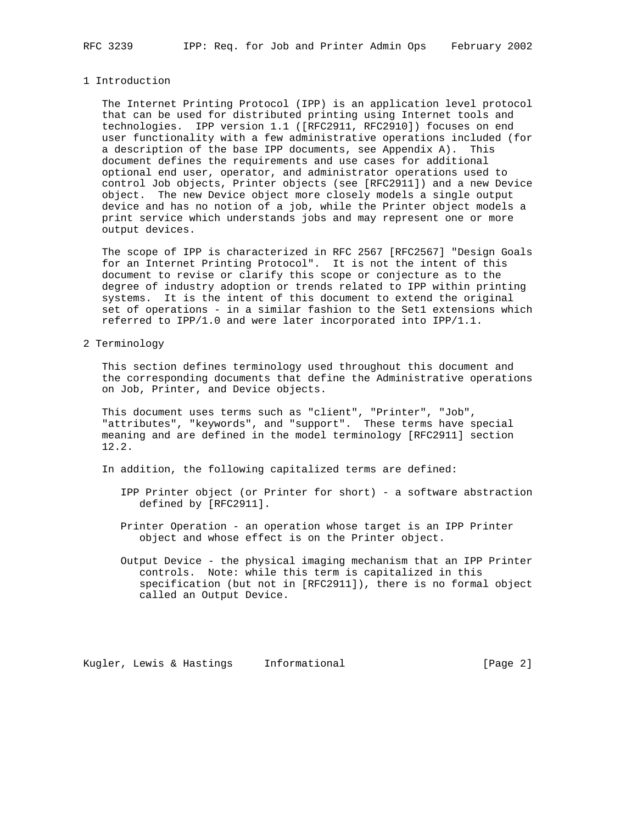#### 1 Introduction

 The Internet Printing Protocol (IPP) is an application level protocol that can be used for distributed printing using Internet tools and technologies. IPP version 1.1 ([RFC2911, RFC2910]) focuses on end user functionality with a few administrative operations included (for a description of the base IPP documents, see Appendix A). This document defines the requirements and use cases for additional optional end user, operator, and administrator operations used to control Job objects, Printer objects (see [RFC2911]) and a new Device object. The new Device object more closely models a single output device and has no notion of a job, while the Printer object models a print service which understands jobs and may represent one or more output devices.

 The scope of IPP is characterized in RFC 2567 [RFC2567] "Design Goals for an Internet Printing Protocol". It is not the intent of this document to revise or clarify this scope or conjecture as to the degree of industry adoption or trends related to IPP within printing systems. It is the intent of this document to extend the original set of operations - in a similar fashion to the Set1 extensions which referred to IPP/1.0 and were later incorporated into IPP/1.1.

## 2 Terminology

 This section defines terminology used throughout this document and the corresponding documents that define the Administrative operations on Job, Printer, and Device objects.

 This document uses terms such as "client", "Printer", "Job", "attributes", "keywords", and "support". These terms have special meaning and are defined in the model terminology [RFC2911] section 12.2.

In addition, the following capitalized terms are defined:

- IPP Printer object (or Printer for short) a software abstraction defined by [RFC2911].
- Printer Operation an operation whose target is an IPP Printer object and whose effect is on the Printer object.
- Output Device the physical imaging mechanism that an IPP Printer controls. Note: while this term is capitalized in this specification (but not in [RFC2911]), there is no formal object called an Output Device.

Kugler, Lewis & Hastings Informational (Page 2)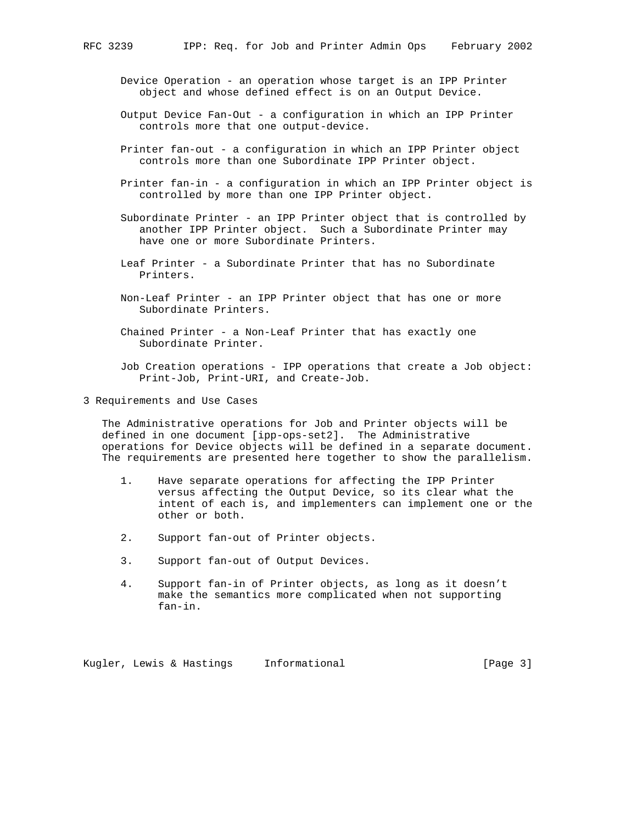- Device Operation an operation whose target is an IPP Printer object and whose defined effect is on an Output Device.
- Output Device Fan-Out a configuration in which an IPP Printer controls more that one output-device.
- Printer fan-out a configuration in which an IPP Printer object controls more than one Subordinate IPP Printer object.
- Printer fan-in a configuration in which an IPP Printer object is controlled by more than one IPP Printer object.
- Subordinate Printer an IPP Printer object that is controlled by another IPP Printer object. Such a Subordinate Printer may have one or more Subordinate Printers.
- Leaf Printer a Subordinate Printer that has no Subordinate Printers.
- Non-Leaf Printer an IPP Printer object that has one or more Subordinate Printers.
- Chained Printer a Non-Leaf Printer that has exactly one Subordinate Printer.
- Job Creation operations IPP operations that create a Job object: Print-Job, Print-URI, and Create-Job.
- 3 Requirements and Use Cases

 The Administrative operations for Job and Printer objects will be defined in one document [ipp-ops-set2]. The Administrative operations for Device objects will be defined in a separate document. The requirements are presented here together to show the parallelism.

- 1. Have separate operations for affecting the IPP Printer versus affecting the Output Device, so its clear what the intent of each is, and implementers can implement one or the other or both.
- 2. Support fan-out of Printer objects.
- 3. Support fan-out of Output Devices.
- 4. Support fan-in of Printer objects, as long as it doesn't make the semantics more complicated when not supporting fan-in.

Kugler, Lewis & Hastings Informational (Page 3)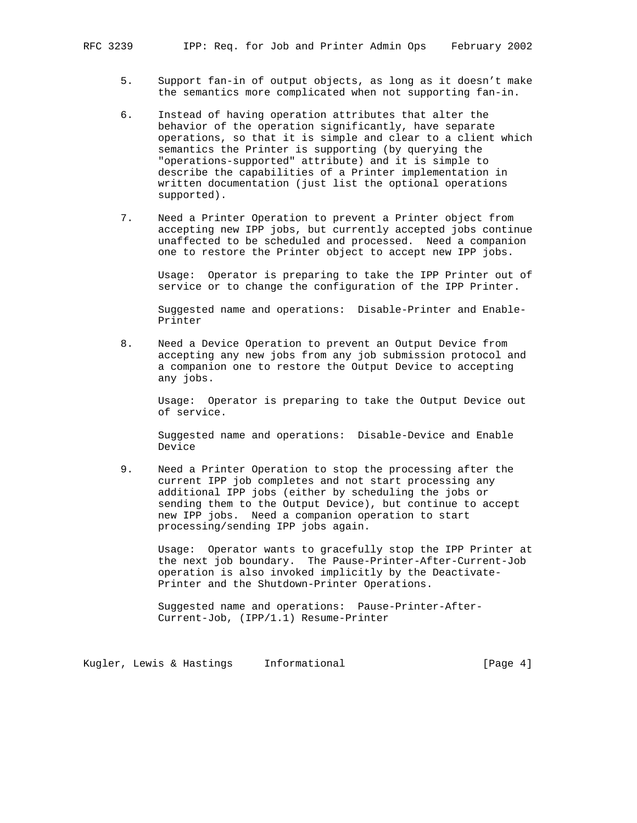- 5. Support fan-in of output objects, as long as it doesn't make the semantics more complicated when not supporting fan-in.
- 6. Instead of having operation attributes that alter the behavior of the operation significantly, have separate operations, so that it is simple and clear to a client which semantics the Printer is supporting (by querying the "operations-supported" attribute) and it is simple to describe the capabilities of a Printer implementation in written documentation (just list the optional operations supported).
- 7. Need a Printer Operation to prevent a Printer object from accepting new IPP jobs, but currently accepted jobs continue unaffected to be scheduled and processed. Need a companion one to restore the Printer object to accept new IPP jobs.

 Usage: Operator is preparing to take the IPP Printer out of service or to change the configuration of the IPP Printer.

 Suggested name and operations: Disable-Printer and Enable- Printer

 8. Need a Device Operation to prevent an Output Device from accepting any new jobs from any job submission protocol and a companion one to restore the Output Device to accepting any jobs.

 Usage: Operator is preparing to take the Output Device out of service.

 Suggested name and operations: Disable-Device and Enable Device

 9. Need a Printer Operation to stop the processing after the current IPP job completes and not start processing any additional IPP jobs (either by scheduling the jobs or sending them to the Output Device), but continue to accept new IPP jobs. Need a companion operation to start processing/sending IPP jobs again.

 Usage: Operator wants to gracefully stop the IPP Printer at the next job boundary. The Pause-Printer-After-Current-Job operation is also invoked implicitly by the Deactivate- Printer and the Shutdown-Printer Operations.

 Suggested name and operations: Pause-Printer-After- Current-Job, (IPP/1.1) Resume-Printer

Kugler, Lewis & Hastings Informational (Page 4)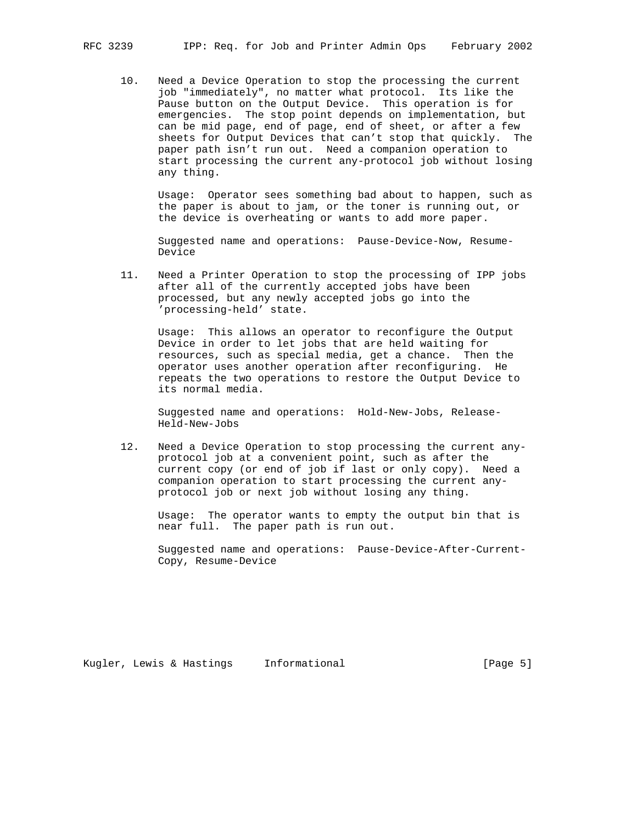10. Need a Device Operation to stop the processing the current job "immediately", no matter what protocol. Its like the Pause button on the Output Device. This operation is for emergencies. The stop point depends on implementation, but can be mid page, end of page, end of sheet, or after a few sheets for Output Devices that can't stop that quickly. The paper path isn't run out. Need a companion operation to start processing the current any-protocol job without losing any thing.

 Usage: Operator sees something bad about to happen, such as the paper is about to jam, or the toner is running out, or the device is overheating or wants to add more paper.

 Suggested name and operations: Pause-Device-Now, Resume- Device

 11. Need a Printer Operation to stop the processing of IPP jobs after all of the currently accepted jobs have been processed, but any newly accepted jobs go into the 'processing-held' state.

 Usage: This allows an operator to reconfigure the Output Device in order to let jobs that are held waiting for resources, such as special media, get a chance. Then the operator uses another operation after reconfiguring. He repeats the two operations to restore the Output Device to its normal media.

 Suggested name and operations: Hold-New-Jobs, Release- Held-New-Jobs

 12. Need a Device Operation to stop processing the current any protocol job at a convenient point, such as after the current copy (or end of job if last or only copy). Need a companion operation to start processing the current any protocol job or next job without losing any thing.

 Usage: The operator wants to empty the output bin that is near full. The paper path is run out.

 Suggested name and operations: Pause-Device-After-Current- Copy, Resume-Device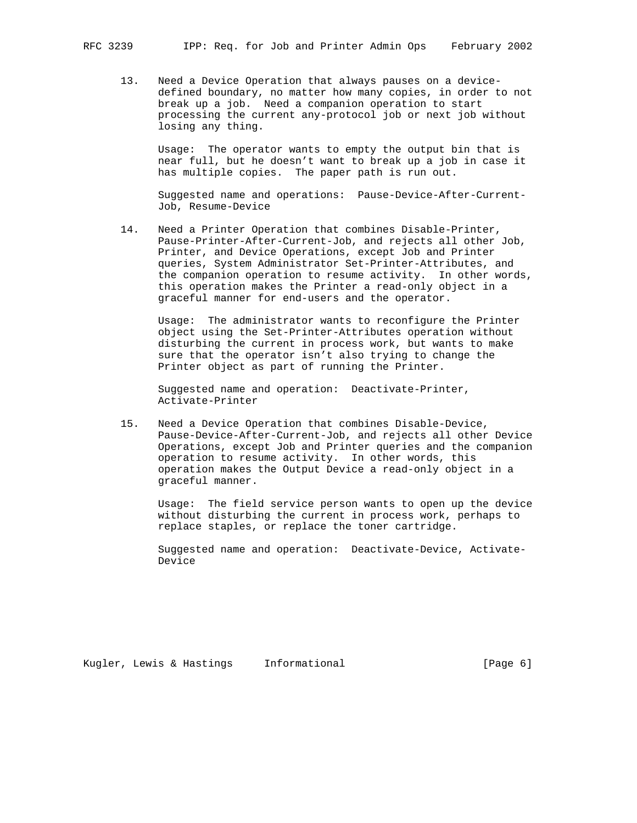13. Need a Device Operation that always pauses on a device defined boundary, no matter how many copies, in order to not break up a job. Need a companion operation to start processing the current any-protocol job or next job without losing any thing.

 Usage: The operator wants to empty the output bin that is near full, but he doesn't want to break up a job in case it has multiple copies. The paper path is run out.

 Suggested name and operations: Pause-Device-After-Current- Job, Resume-Device

 14. Need a Printer Operation that combines Disable-Printer, Pause-Printer-After-Current-Job, and rejects all other Job, Printer, and Device Operations, except Job and Printer queries, System Administrator Set-Printer-Attributes, and the companion operation to resume activity. In other words, this operation makes the Printer a read-only object in a graceful manner for end-users and the operator.

 Usage: The administrator wants to reconfigure the Printer object using the Set-Printer-Attributes operation without disturbing the current in process work, but wants to make sure that the operator isn't also trying to change the Printer object as part of running the Printer.

 Suggested name and operation: Deactivate-Printer, Activate-Printer

 15. Need a Device Operation that combines Disable-Device, Pause-Device-After-Current-Job, and rejects all other Device Operations, except Job and Printer queries and the companion operation to resume activity. In other words, this operation makes the Output Device a read-only object in a graceful manner.

 Usage: The field service person wants to open up the device without disturbing the current in process work, perhaps to replace staples, or replace the toner cartridge.

 Suggested name and operation: Deactivate-Device, Activate- Device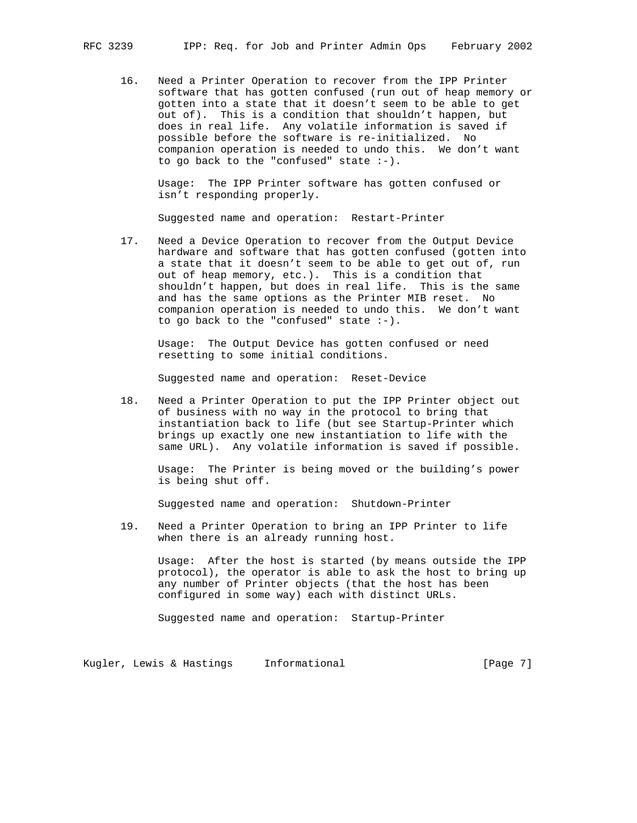16. Need a Printer Operation to recover from the IPP Printer software that has gotten confused (run out of heap memory or gotten into a state that it doesn't seem to be able to get out of). This is a condition that shouldn't happen, but does in real life. Any volatile information is saved if possible before the software is re-initialized. No companion operation is needed to undo this. We don't want to go back to the "confused" state :-).

 Usage: The IPP Printer software has gotten confused or isn't responding properly.

Suggested name and operation: Restart-Printer

 17. Need a Device Operation to recover from the Output Device hardware and software that has gotten confused (gotten into a state that it doesn't seem to be able to get out of, run out of heap memory, etc.). This is a condition that shouldn't happen, but does in real life. This is the same and has the same options as the Printer MIB reset. No companion operation is needed to undo this. We don't want to go back to the "confused" state :-).

 Usage: The Output Device has gotten confused or need resetting to some initial conditions.

Suggested name and operation: Reset-Device

 18. Need a Printer Operation to put the IPP Printer object out of business with no way in the protocol to bring that instantiation back to life (but see Startup-Printer which brings up exactly one new instantiation to life with the same URL). Any volatile information is saved if possible.

 Usage: The Printer is being moved or the building's power is being shut off.

Suggested name and operation: Shutdown-Printer

 19. Need a Printer Operation to bring an IPP Printer to life when there is an already running host.

 Usage: After the host is started (by means outside the IPP protocol), the operator is able to ask the host to bring up any number of Printer objects (that the host has been configured in some way) each with distinct URLs.

Suggested name and operation: Startup-Printer

Kugler, Lewis & Hastings Informational (Page 7)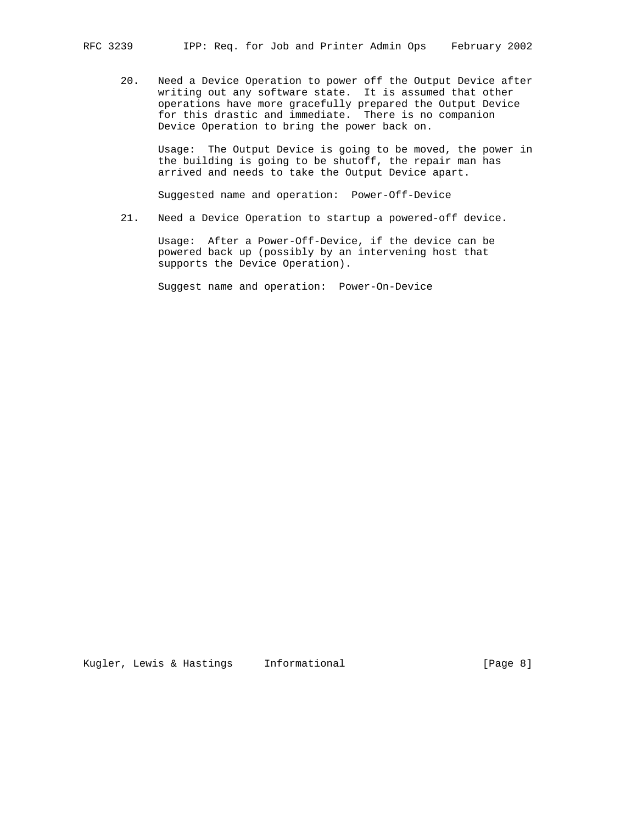20. Need a Device Operation to power off the Output Device after writing out any software state. It is assumed that other operations have more gracefully prepared the Output Device for this drastic and immediate. There is no companion Device Operation to bring the power back on.

 Usage: The Output Device is going to be moved, the power in the building is going to be shutoff, the repair man has arrived and needs to take the Output Device apart.

Suggested name and operation: Power-Off-Device

21. Need a Device Operation to startup a powered-off device.

 Usage: After a Power-Off-Device, if the device can be powered back up (possibly by an intervening host that supports the Device Operation).

Suggest name and operation: Power-On-Device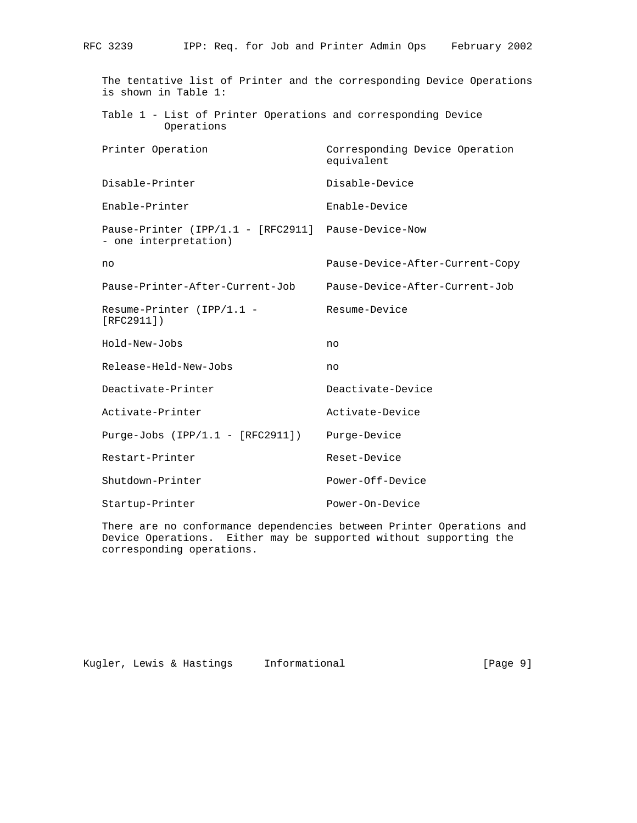The tentative list of Printer and the corresponding Device Operations is shown in Table 1: Table 1 - List of Printer Operations and corresponding Device Operations Printer Operation Corresponding Device Operation equivalent Disable-Printer Disable-Device Enable-Printer Enable-Device Pause-Printer (IPP/1.1 - [RFC2911] Pause-Device-Now - one interpretation) no Pause-Device-After-Current-Copy Pause-Printer-After-Current-Job Pause-Device-After-Current-Job Resume-Printer (IPP/1.1 - Resume-Device [RFC2911]) Hold-New-Jobs no Release-Held-New-Jobs no Deactivate-Printer Deactivate-Device Activate-Printer **Activate-Device**  Purge-Jobs (IPP/1.1 - [RFC2911]) Purge-Device Restart-Printer Reset-Device Shutdown-Printer Power-Off-Device Startup-Printer Power-On-Device

 There are no conformance dependencies between Printer Operations and Device Operations. Either may be supported without supporting the corresponding operations.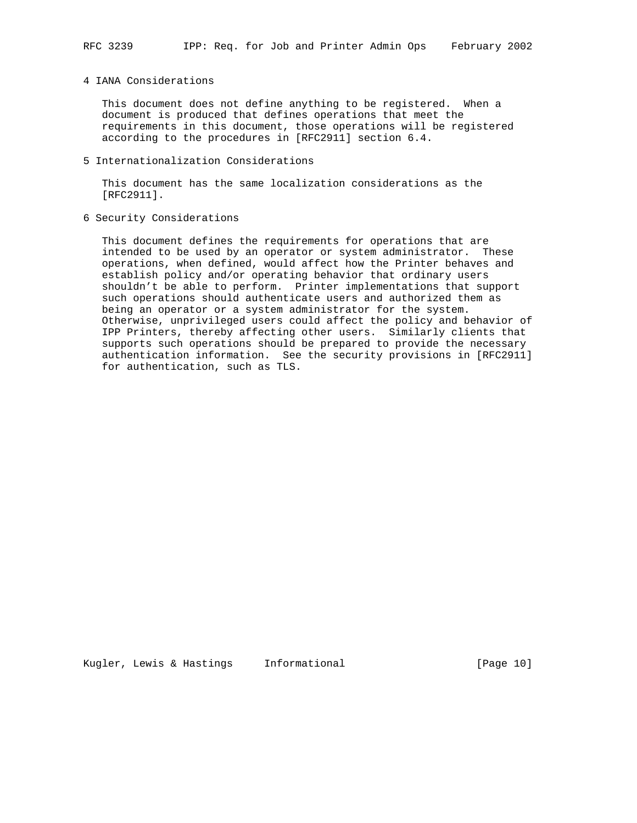## 4 IANA Considerations

 This document does not define anything to be registered. When a document is produced that defines operations that meet the requirements in this document, those operations will be registered according to the procedures in [RFC2911] section 6.4.

5 Internationalization Considerations

 This document has the same localization considerations as the [RFC2911].

6 Security Considerations

 This document defines the requirements for operations that are intended to be used by an operator or system administrator. These operations, when defined, would affect how the Printer behaves and establish policy and/or operating behavior that ordinary users shouldn't be able to perform. Printer implementations that support such operations should authenticate users and authorized them as being an operator or a system administrator for the system. Otherwise, unprivileged users could affect the policy and behavior of IPP Printers, thereby affecting other users. Similarly clients that supports such operations should be prepared to provide the necessary authentication information. See the security provisions in [RFC2911] for authentication, such as TLS.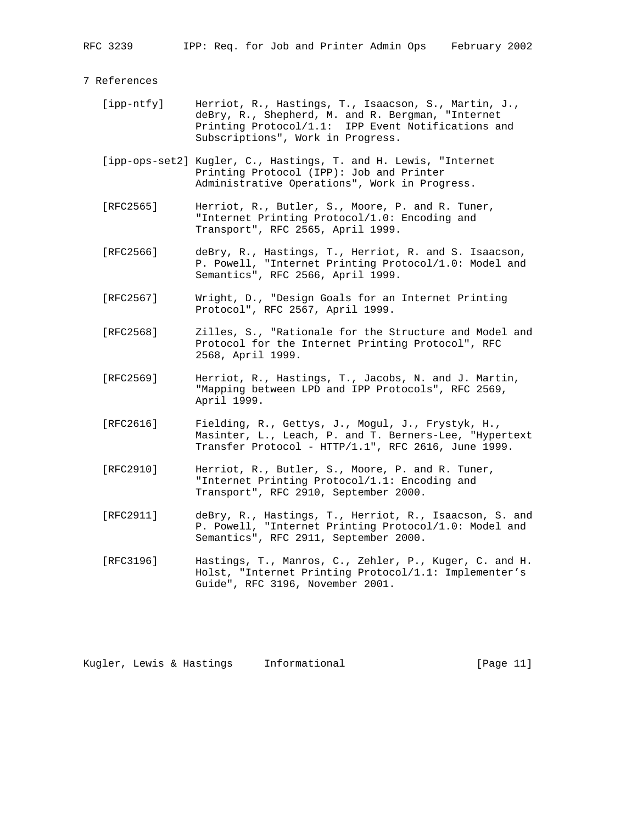#### 7 References

- [ipp-ntfy] Herriot, R., Hastings, T., Isaacson, S., Martin, J., deBry, R., Shepherd, M. and R. Bergman, "Internet Printing Protocol/1.1: IPP Event Notifications and Subscriptions", Work in Progress.
- [ipp-ops-set2] Kugler, C., Hastings, T. and H. Lewis, "Internet Printing Protocol (IPP): Job and Printer Administrative Operations", Work in Progress.
- [RFC2565] Herriot, R., Butler, S., Moore, P. and R. Tuner, "Internet Printing Protocol/1.0: Encoding and Transport", RFC 2565, April 1999.
- [RFC2566] deBry, R., Hastings, T., Herriot, R. and S. Isaacson, P. Powell, "Internet Printing Protocol/1.0: Model and Semantics", RFC 2566, April 1999.
- [RFC2567] Wright, D., "Design Goals for an Internet Printing Protocol", RFC 2567, April 1999.
- [RFC2568] Zilles, S., "Rationale for the Structure and Model and Protocol for the Internet Printing Protocol", RFC 2568, April 1999.
- [RFC2569] Herriot, R., Hastings, T., Jacobs, N. and J. Martin, "Mapping between LPD and IPP Protocols", RFC 2569, April 1999.
- [RFC2616] Fielding, R., Gettys, J., Mogul, J., Frystyk, H., Masinter, L., Leach, P. and T. Berners-Lee, "Hypertext Transfer Protocol - HTTP/1.1", RFC 2616, June 1999.
- [RFC2910] Herriot, R., Butler, S., Moore, P. and R. Tuner, "Internet Printing Protocol/1.1: Encoding and Transport", RFC 2910, September 2000.
- [RFC2911] deBry, R., Hastings, T., Herriot, R., Isaacson, S. and P. Powell, "Internet Printing Protocol/1.0: Model and Semantics", RFC 2911, September 2000.
- [RFC3196] Hastings, T., Manros, C., Zehler, P., Kuger, C. and H. Holst, "Internet Printing Protocol/1.1: Implementer's Guide", RFC 3196, November 2001.

Kugler, Lewis & Hastings Informational (Page 11)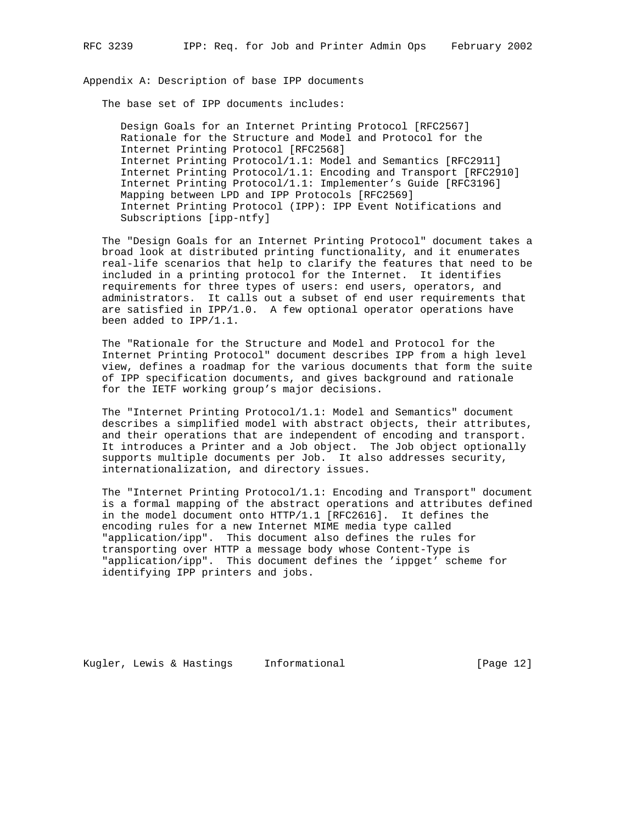Appendix A: Description of base IPP documents

The base set of IPP documents includes:

 Design Goals for an Internet Printing Protocol [RFC2567] Rationale for the Structure and Model and Protocol for the Internet Printing Protocol [RFC2568] Internet Printing Protocol/1.1: Model and Semantics [RFC2911] Internet Printing Protocol/1.1: Encoding and Transport [RFC2910] Internet Printing Protocol/1.1: Implementer's Guide [RFC3196] Mapping between LPD and IPP Protocols [RFC2569] Internet Printing Protocol (IPP): IPP Event Notifications and Subscriptions [ipp-ntfy]

 The "Design Goals for an Internet Printing Protocol" document takes a broad look at distributed printing functionality, and it enumerates real-life scenarios that help to clarify the features that need to be included in a printing protocol for the Internet. It identifies requirements for three types of users: end users, operators, and administrators. It calls out a subset of end user requirements that are satisfied in  $IPP/1.0$ . A few optional operator operations have been added to IPP/1.1.

 The "Rationale for the Structure and Model and Protocol for the Internet Printing Protocol" document describes IPP from a high level view, defines a roadmap for the various documents that form the suite of IPP specification documents, and gives background and rationale for the IETF working group's major decisions.

 The "Internet Printing Protocol/1.1: Model and Semantics" document describes a simplified model with abstract objects, their attributes, and their operations that are independent of encoding and transport. It introduces a Printer and a Job object. The Job object optionally supports multiple documents per Job. It also addresses security, internationalization, and directory issues.

 The "Internet Printing Protocol/1.1: Encoding and Transport" document is a formal mapping of the abstract operations and attributes defined in the model document onto HTTP/1.1 [RFC2616]. It defines the encoding rules for a new Internet MIME media type called "application/ipp". This document also defines the rules for transporting over HTTP a message body whose Content-Type is "application/ipp". This document defines the 'ippget' scheme for identifying IPP printers and jobs.

Kugler, Lewis & Hastings Informational [Page 12]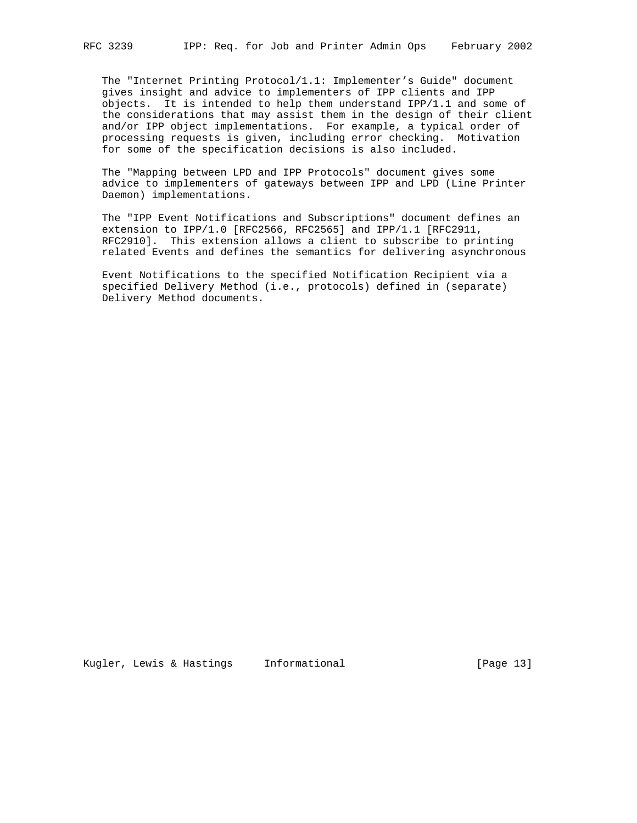The "Internet Printing Protocol/1.1: Implementer's Guide" document gives insight and advice to implementers of IPP clients and IPP objects. It is intended to help them understand IPP/1.1 and some of the considerations that may assist them in the design of their client and/or IPP object implementations. For example, a typical order of processing requests is given, including error checking. Motivation for some of the specification decisions is also included.

 The "Mapping between LPD and IPP Protocols" document gives some advice to implementers of gateways between IPP and LPD (Line Printer Daemon) implementations.

 The "IPP Event Notifications and Subscriptions" document defines an extension to IPP/1.0 [RFC2566, RFC2565] and IPP/1.1 [RFC2911, RFC2910]. This extension allows a client to subscribe to printing related Events and defines the semantics for delivering asynchronous

 Event Notifications to the specified Notification Recipient via a specified Delivery Method (i.e., protocols) defined in (separate) Delivery Method documents.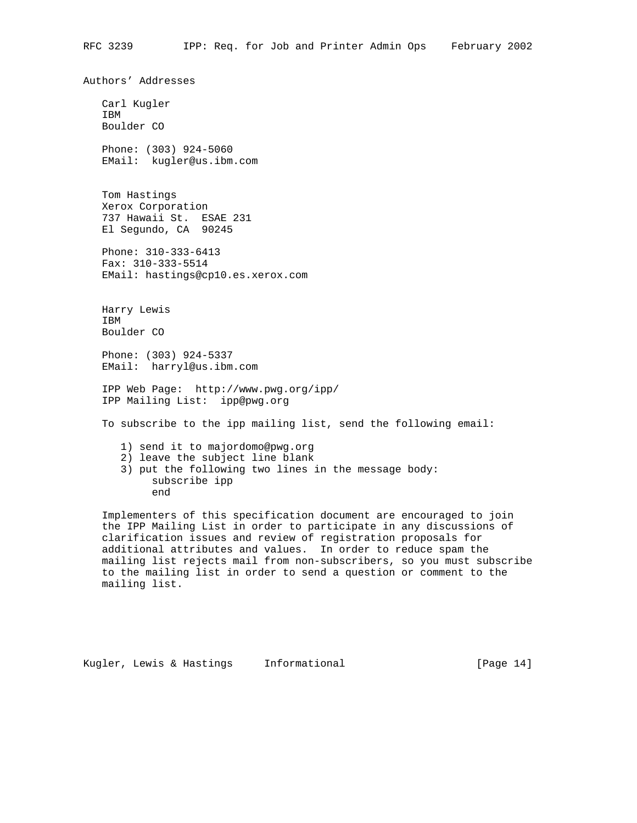Authors' Addresses

 Carl Kugler IBM Boulder CO Phone: (303) 924-5060 EMail: kugler@us.ibm.com Tom Hastings Xerox Corporation 737 Hawaii St. ESAE 231 El Segundo, CA 90245 Phone: 310-333-6413 Fax: 310-333-5514 EMail: hastings@cp10.es.xerox.com Harry Lewis IBM Boulder CO Phone: (303) 924-5337 EMail: harryl@us.ibm.com IPP Web Page: http://www.pwg.org/ipp/ IPP Mailing List: ipp@pwg.org To subscribe to the ipp mailing list, send the following email: 1) send it to majordomo@pwg.org 2) leave the subject line blank 3) put the following two lines in the message body: subscribe ipp end Implementers of this specification document are encouraged to join the IPP Mailing List in order to participate in any discussions of clarification issues and review of registration proposals for

 additional attributes and values. In order to reduce spam the mailing list rejects mail from non-subscribers, so you must subscribe to the mailing list in order to send a question or comment to the mailing list.

```
Kugler, Lewis & Hastings Informational (Page 14)
```